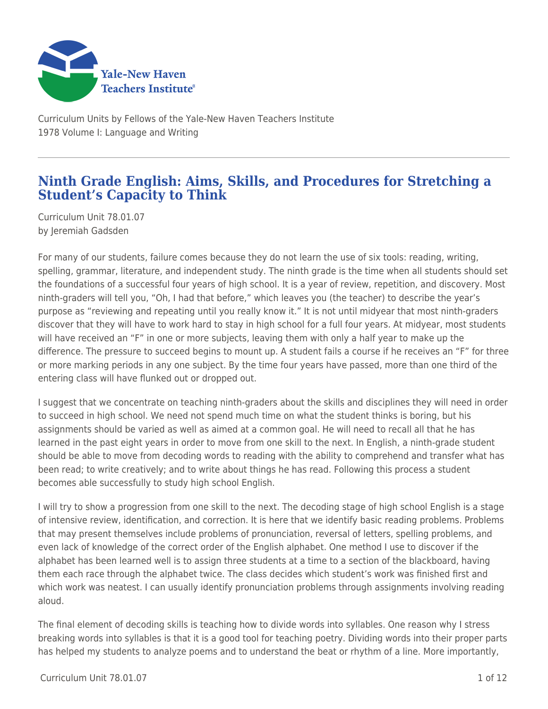

Curriculum Units by Fellows of the Yale-New Haven Teachers Institute 1978 Volume I: Language and Writing

# **Ninth Grade English: Aims, Skills, and Procedures for Stretching a Student's Capacity to Think**

Curriculum Unit 78.01.07 by Jeremiah Gadsden

For many of our students, failure comes because they do not learn the use of six tools: reading, writing, spelling, grammar, literature, and independent study. The ninth grade is the time when all students should set the foundations of a successful four years of high school. It is a year of review, repetition, and discovery. Most ninth-graders will tell you, "Oh, I had that before," which leaves you (the teacher) to describe the year's purpose as "reviewing and repeating until you really know it." It is not until midyear that most ninth-graders discover that they will have to work hard to stay in high school for a full four years. At midyear, most students will have received an "F" in one or more subjects, leaving them with only a half year to make up the difference. The pressure to succeed begins to mount up. A student fails a course if he receives an "F" for three or more marking periods in any one subject. By the time four years have passed, more than one third of the entering class will have flunked out or dropped out.

I suggest that we concentrate on teaching ninth-graders about the skills and disciplines they will need in order to succeed in high school. We need not spend much time on what the student thinks is boring, but his assignments should be varied as well as aimed at a common goal. He will need to recall all that he has learned in the past eight years in order to move from one skill to the next. In English, a ninth-grade student should be able to move from decoding words to reading with the ability to comprehend and transfer what has been read; to write creatively; and to write about things he has read. Following this process a student becomes able successfully to study high school English.

I will try to show a progression from one skill to the next. The decoding stage of high school English is a stage of intensive review, identification, and correction. It is here that we identify basic reading problems. Problems that may present themselves include problems of pronunciation, reversal of letters, spelling problems, and even lack of knowledge of the correct order of the English alphabet. One method I use to discover if the alphabet has been learned well is to assign three students at a time to a section of the blackboard, having them each race through the alphabet twice. The class decides which student's work was finished first and which work was neatest. I can usually identify pronunciation problems through assignments involving reading aloud.

The final element of decoding skills is teaching how to divide words into syllables. One reason why I stress breaking words into syllables is that it is a good tool for teaching poetry. Dividing words into their proper parts has helped my students to analyze poems and to understand the beat or rhythm of a line. More importantly,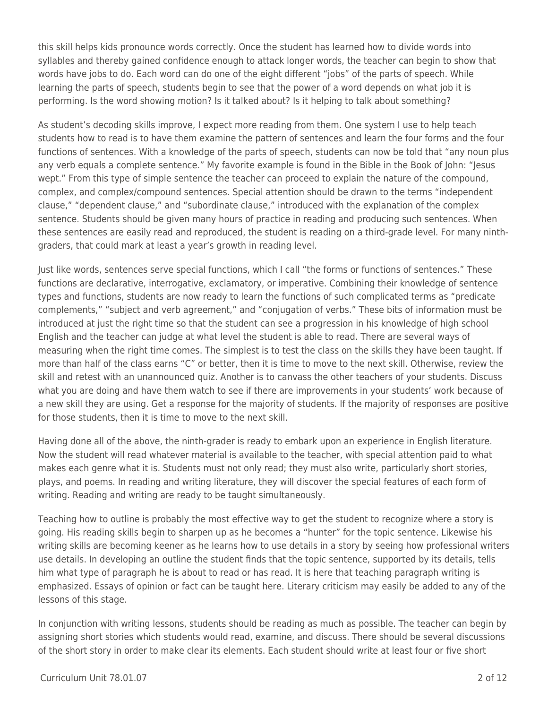this skill helps kids pronounce words correctly. Once the student has learned how to divide words into syllables and thereby gained confidence enough to attack longer words, the teacher can begin to show that words have jobs to do. Each word can do one of the eight different "jobs" of the parts of speech. While learning the parts of speech, students begin to see that the power of a word depends on what job it is performing. Is the word showing motion? Is it talked about? Is it helping to talk about something?

As student's decoding skills improve, I expect more reading from them. One system I use to help teach students how to read is to have them examine the pattern of sentences and learn the four forms and the four functions of sentences. With a knowledge of the parts of speech, students can now be told that "any noun plus any verb equals a complete sentence." My favorite example is found in the Bible in the Book of John: "Jesus wept." From this type of simple sentence the teacher can proceed to explain the nature of the compound, complex, and complex/compound sentences. Special attention should be drawn to the terms "independent clause," "dependent clause," and "subordinate clause," introduced with the explanation of the complex sentence. Students should be given many hours of practice in reading and producing such sentences. When these sentences are easily read and reproduced, the student is reading on a third-grade level. For many ninthgraders, that could mark at least a year's growth in reading level.

Just like words, sentences serve special functions, which I call "the forms or functions of sentences." These functions are declarative, interrogative, exclamatory, or imperative. Combining their knowledge of sentence types and functions, students are now ready to learn the functions of such complicated terms as "predicate complements," "subject and verb agreement," and "conjugation of verbs." These bits of information must be introduced at just the right time so that the student can see a progression in his knowledge of high school English and the teacher can judge at what level the student is able to read. There are several ways of measuring when the right time comes. The simplest is to test the class on the skills they have been taught. If more than half of the class earns "C" or better, then it is time to move to the next skill. Otherwise, review the skill and retest with an unannounced quiz. Another is to canvass the other teachers of your students. Discuss what you are doing and have them watch to see if there are improvements in your students' work because of a new skill they are using. Get a response for the majority of students. If the majority of responses are positive for those students, then it is time to move to the next skill.

Having done all of the above, the ninth-grader is ready to embark upon an experience in English literature. Now the student will read whatever material is available to the teacher, with special attention paid to what makes each genre what it is. Students must not only read; they must also write, particularly short stories, plays, and poems. In reading and writing literature, they will discover the special features of each form of writing. Reading and writing are ready to be taught simultaneously.

Teaching how to outline is probably the most effective way to get the student to recognize where a story is going. His reading skills begin to sharpen up as he becomes a "hunter" for the topic sentence. Likewise his writing skills are becoming keener as he learns how to use details in a story by seeing how professional writers use details. In developing an outline the student finds that the topic sentence, supported by its details, tells him what type of paragraph he is about to read or has read. It is here that teaching paragraph writing is emphasized. Essays of opinion or fact can be taught here. Literary criticism may easily be added to any of the lessons of this stage.

In conjunction with writing lessons, students should be reading as much as possible. The teacher can begin by assigning short stories which students would read, examine, and discuss. There should be several discussions of the short story in order to make clear its elements. Each student should write at least four or five short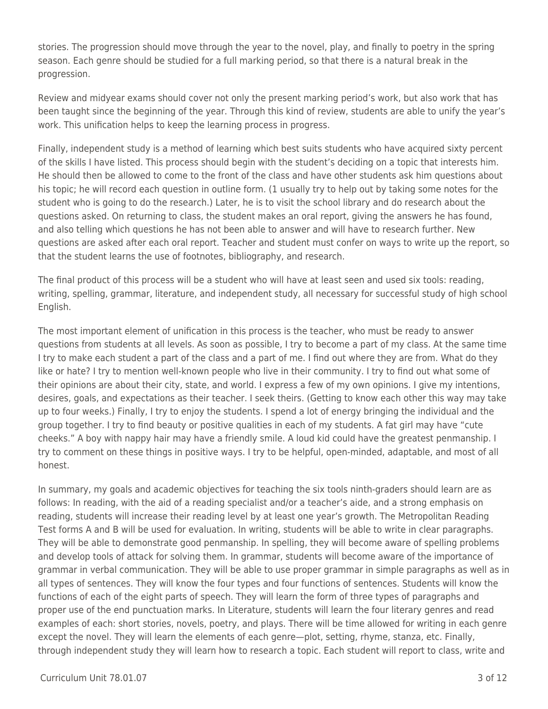stories. The progression should move through the year to the novel, play, and finally to poetry in the spring season. Each genre should be studied for a full marking period, so that there is a natural break in the progression.

Review and midyear exams should cover not only the present marking period's work, but also work that has been taught since the beginning of the year. Through this kind of review, students are able to unify the year's work. This unification helps to keep the learning process in progress.

Finally, independent study is a method of learning which best suits students who have acquired sixty percent of the skills I have listed. This process should begin with the student's deciding on a topic that interests him. He should then be allowed to come to the front of the class and have other students ask him questions about his topic; he will record each question in outline form. (1 usually try to help out by taking some notes for the student who is going to do the research.) Later, he is to visit the school library and do research about the questions asked. On returning to class, the student makes an oral report, giving the answers he has found, and also telling which questions he has not been able to answer and will have to research further. New questions are asked after each oral report. Teacher and student must confer on ways to write up the report, so that the student learns the use of footnotes, bibliography, and research.

The final product of this process will be a student who will have at least seen and used six tools: reading, writing, spelling, grammar, literature, and independent study, all necessary for successful study of high school English.

The most important element of unification in this process is the teacher, who must be ready to answer questions from students at all levels. As soon as possible, I try to become a part of my class. At the same time I try to make each student a part of the class and a part of me. I find out where they are from. What do they like or hate? I try to mention well-known people who live in their community. I try to find out what some of their opinions are about their city, state, and world. I express a few of my own opinions. I give my intentions, desires, goals, and expectations as their teacher. I seek theirs. (Getting to know each other this way may take up to four weeks.) Finally, I try to enjoy the students. I spend a lot of energy bringing the individual and the group together. I try to find beauty or positive qualities in each of my students. A fat girl may have "cute cheeks." A boy with nappy hair may have a friendly smile. A loud kid could have the greatest penmanship. I try to comment on these things in positive ways. I try to be helpful, open-minded, adaptable, and most of all honest.

In summary, my goals and academic objectives for teaching the six tools ninth-graders should learn are as follows: In reading, with the aid of a reading specialist and/or a teacher's aide, and a strong emphasis on reading, students will increase their reading level by at least one year's growth. The Metropolitan Reading Test forms A and B will be used for evaluation. In writing, students will be able to write in clear paragraphs. They will be able to demonstrate good penmanship. In spelling, they will become aware of spelling problems and develop tools of attack for solving them. In grammar, students will become aware of the importance of grammar in verbal communication. They will be able to use proper grammar in simple paragraphs as well as in all types of sentences. They will know the four types and four functions of sentences. Students will know the functions of each of the eight parts of speech. They will learn the form of three types of paragraphs and proper use of the end punctuation marks. In Literature, students will learn the four literary genres and read examples of each: short stories, novels, poetry, and plays. There will be time allowed for writing in each genre except the novel. They will learn the elements of each genre—plot, setting, rhyme, stanza, etc. Finally, through independent study they will learn how to research a topic. Each student will report to class, write and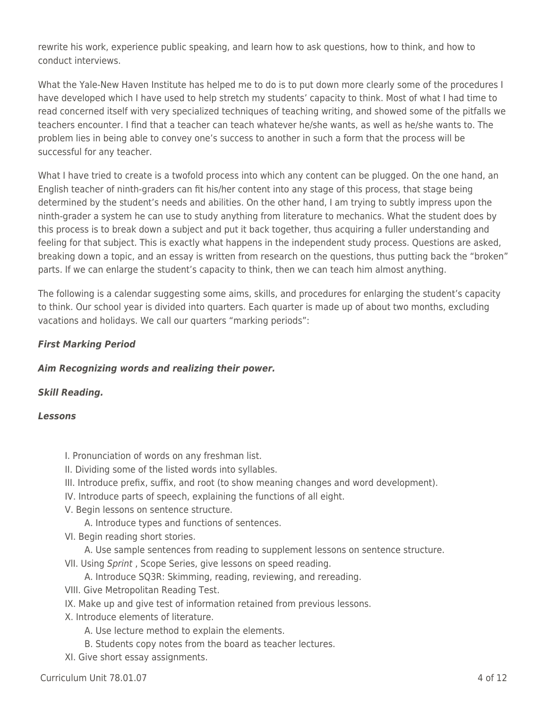rewrite his work, experience public speaking, and learn how to ask questions, how to think, and how to conduct interviews.

What the Yale-New Haven Institute has helped me to do is to put down more clearly some of the procedures I have developed which I have used to help stretch my students' capacity to think. Most of what I had time to read concerned itself with very specialized techniques of teaching writing, and showed some of the pitfalls we teachers encounter. I find that a teacher can teach whatever he/she wants, as well as he/she wants to. The problem lies in being able to convey one's success to another in such a form that the process will be successful for any teacher.

What I have tried to create is a twofold process into which any content can be plugged. On the one hand, an English teacher of ninth-graders can fit his/her content into any stage of this process, that stage being determined by the student's needs and abilities. On the other hand, I am trying to subtly impress upon the ninth-grader a system he can use to study anything from literature to mechanics. What the student does by this process is to break down a subject and put it back together, thus acquiring a fuller understanding and feeling for that subject. This is exactly what happens in the independent study process. Questions are asked, breaking down a topic, and an essay is written from research on the questions, thus putting back the "broken" parts. If we can enlarge the student's capacity to think, then we can teach him almost anything.

The following is a calendar suggesting some aims, skills, and procedures for enlarging the student's capacity to think. Our school year is divided into quarters. Each quarter is made up of about two months, excluding vacations and holidays. We call our quarters "marking periods":

## *First Marking Period*

## *Aim Recognizing words and realizing their power.*

## *Skill Reading.*

### *Lessons*

- I. Pronunciation of words on any freshman list.
- II. Dividing some of the listed words into syllables.
- III. Introduce prefix, suffix, and root (to show meaning changes and word development).
- IV. Introduce parts of speech, explaining the functions of all eight.
- V. Begin lessons on sentence structure.
	- A. Introduce types and functions of sentences.
- VI. Begin reading short stories.
	- \_\_\_\_ A. Use sample sentences from reading to supplement lessons on sentence structure.
- VlI. Using Sprint , Scope Series, give lessons on speed reading.
	- A. Introduce SQ3R: Skimming, reading, reviewing, and rereading.
- VIII. Give Metropolitan Reading Test.
- IX. Make up and give test of information retained from previous lessons.
- X. Introduce elements of literature.
	- A. Use lecture method to explain the elements.
	- B. Students copy notes from the board as teacher lectures.
- XI. Give short essay assignments.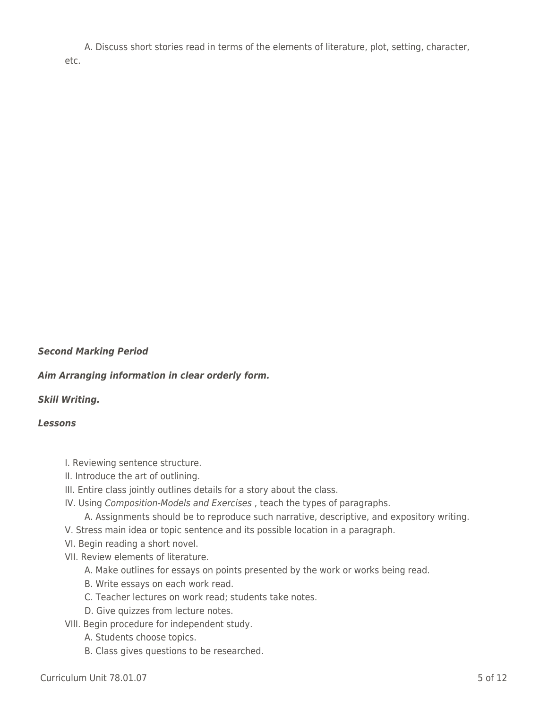A. Discuss short stories read in terms of the elements of literature, plot, setting, character, etc.

### *Second Marking Period*

*Aim Arranging information in clear orderly form.*

### *Skill Writing.*

#### *Lessons*

- I. Reviewing sentence structure.
- II. Introduce the art of outlining.
- III. Entire class jointly outlines details for a story about the class.
- IV. Using Composition-Models and Exercises , teach the types of paragraphs.
	- A. Assignments should be to reproduce such narrative, descriptive, and expository writing.
- V. Stress main idea or topic sentence and its possible location in a paragraph.
- VI. Begin reading a short novel.
- VII. Review elements of literature.
	- A. Make outlines for essays on points presented by the work or works being read.
	- B. Write essays on each work read.
	- C. Teacher lectures on work read; students take notes.
	- D. Give quizzes from lecture notes.
- VIlI. Begin procedure for independent study.
	- A. Students choose topics.
	- B. Class gives questions to be researched.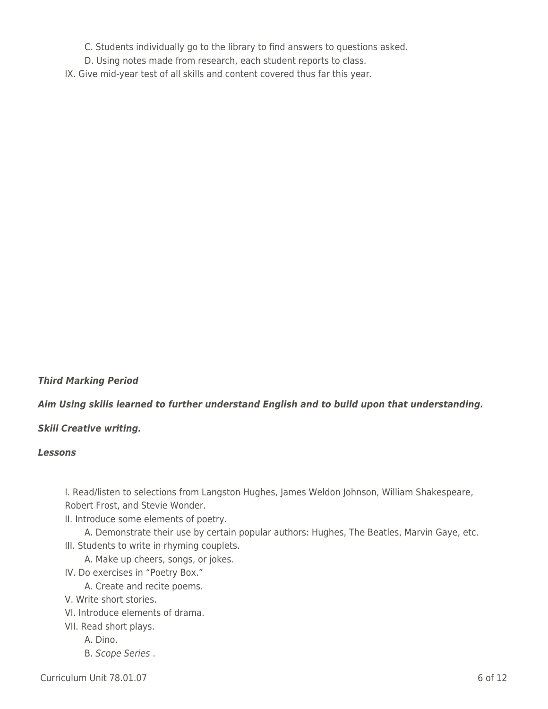- \_\_\_\_ C. Students individually go to the library to find answers to questions asked.
- D. Using notes made from research, each student reports to class.
- IX. Give mid-year test of all skills and content covered thus far this year.

## *Third Marking Period*

## *Aim Using skills learned to further understand English and to build upon that understanding.*

### *Skill Creative writing.*

### *Lessons*

I. Read/listen to selections from Langston Hughes, James Weldon Johnson, William Shakespeare, Robert Frost, and Stevie Wonder.

II. Introduce some elements of poetry.

A. Demonstrate their use by certain popular authors: Hughes, The Beatles, Marvin Gaye, etc. III. Students to write in rhyming couplets.

- A. Make up cheers, songs, or jokes.
- IV. Do exercises in "Poetry Box."

A. Create and recite poems.

- V. Write short stories.
- VI. Introduce elements of drama.

VII. Read short plays.

- A. Dino.
- B. Scope Series .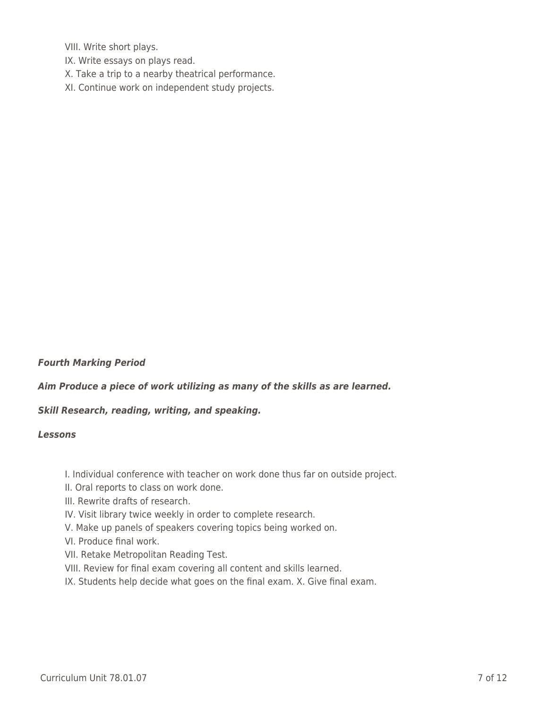VIII. Write short plays.

- IX. Write essays on plays read.
- X. Take a trip to a nearby theatrical performance.
- XI. Continue work on independent study projects.

### *Fourth Marking Period*

*Aim Produce a piece of work utilizing as many of the skills as are learned.*

### *Skill Research, reading, writing, and speaking.*

#### *Lessons*

I. Individual conference with teacher on work done thus far on outside project.

- II. Oral reports to class on work done.
- III. Rewrite drafts of research.
- IV. Visit library twice weekly in order to complete research.
- V. Make up panels of speakers covering topics being worked on.
- VI. Produce final work.
- VII. Retake Metropolitan Reading Test.
- VIII. Review for final exam covering all content and skills learned.
- IX. Students help decide what goes on the final exam. X. Give final exam.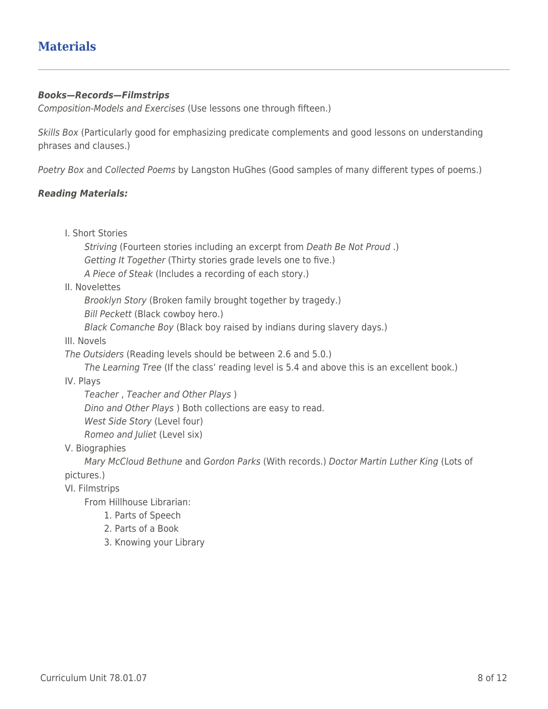# **Materials**

### *Books—Records—Filmstrips*

Composition-Models and Exercises (Use lessons one through fifteen.)

Skills Box (Particularly good for emphasizing predicate complements and good lessons on understanding phrases and clauses.)

Poetry Box and Collected Poems by Langston HuGhes (Good samples of many different types of poems.)

### *Reading Materials:*

I. Short Stories

Striving (Fourteen stories including an excerpt from Death Be Not Proud .) Getting It Together (Thirty stories grade levels one to five.) A Piece of Steak (Includes a recording of each story.)

II. Novelettes

Brooklyn Story (Broken family brought together by tragedy.)

Bill Peckett (Black cowboy hero.)

Black Comanche Boy (Black boy raised by indians during slavery days.)

III. Novels

The Outsiders (Reading levels should be between 2.6 and 5.0.)

The Learning Tree (If the class' reading level is 5.4 and above this is an excellent book.)

IV. Plays

Teacher, Teacher and Other Plays ) Dino and Other Plays ) Both collections are easy to read. West Side Story (Level four) Romeo and Juliet (Level six)

V. Biographies

Mary McCloud Bethune and Gordon Parks (With records.) Doctor Martin Luther King (Lots of pictures.)

VI. Filmstrips

From Hillhouse Librarian:

- 1. Parts of Speech
- 2. Parts of a Book
- 3. Knowing your Library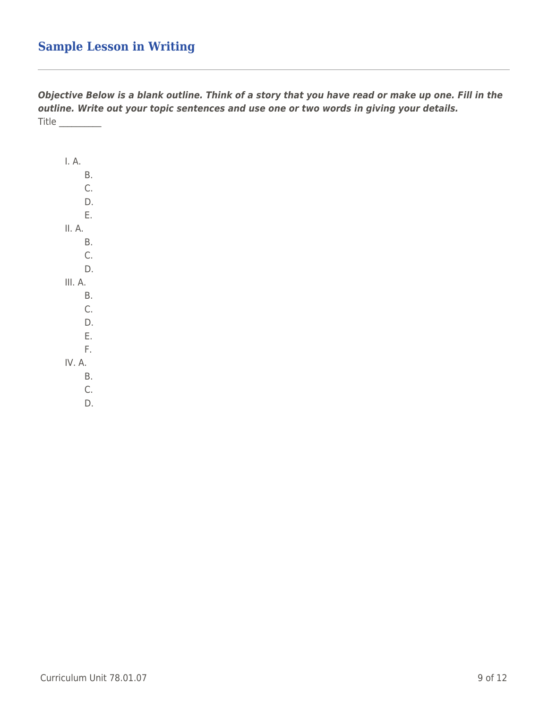# **Sample Lesson in Writing**

*Objective Below is a blank outline. Think of a story that you have read or make up one. Fill in the outline. Write out your topic sentences and use one or two words in giving your details.* Title \_\_\_\_\_\_\_\_\_\_

| I. A.   |  |
|---------|--|
| Β.      |  |
| C.      |  |
| D.      |  |
| E.      |  |
| II. A.  |  |
| Β.      |  |
| C.      |  |
| D.      |  |
| III. A. |  |
| Β.      |  |
|         |  |
| Ć.      |  |
| D.      |  |
| E.      |  |
| F.      |  |
| IV. A.  |  |
| Β.      |  |
| C.      |  |
| D.      |  |
|         |  |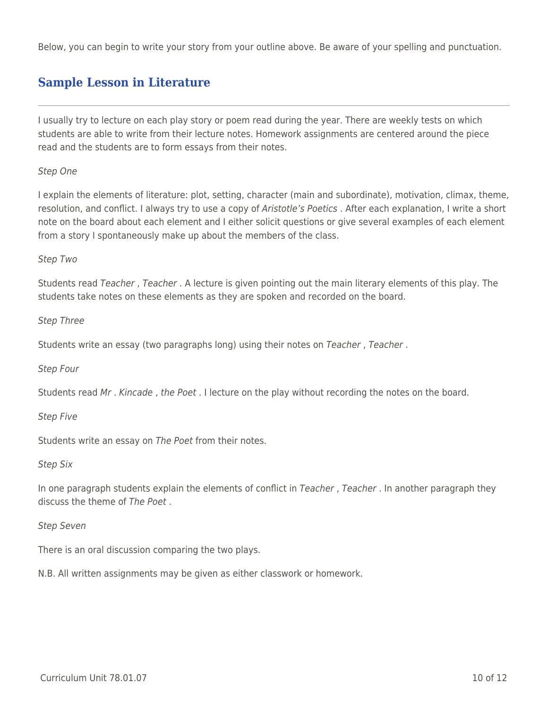Below, you can begin to write your story from your outline above. Be aware of your spelling and punctuation.

# **Sample Lesson in Literature**

I usually try to lecture on each play story or poem read during the year. There are weekly tests on which students are able to write from their lecture notes. Homework assignments are centered around the piece read and the students are to form essays from their notes.

### Step One

I explain the elements of literature: plot, setting, character (main and subordinate), motivation, climax, theme, resolution, and conflict. I always try to use a copy of Aristotle's Poetics. After each explanation, I write a short note on the board about each element and I either solicit questions or give several examples of each element from a story I spontaneously make up about the members of the class.

## Step Two

Students read Teacher , Teacher . A lecture is given pointing out the main literary elements of this play. The students take notes on these elements as they are spoken and recorded on the board.

### Step Three

Students write an essay (two paragraphs long) using their notes on Teacher , Teacher .

### Step Four

Students read Mr . Kincade , the Poet . I lecture on the play without recording the notes on the board.

### Step Five

Students write an essay on The Poet from their notes.

### Step Six

In one paragraph students explain the elements of conflict in Teacher, Teacher. In another paragraph they discuss the theme of The Poet .

### Step Seven

There is an oral discussion comparing the two plays.

N.B. All written assignments may be given as either classwork or homework.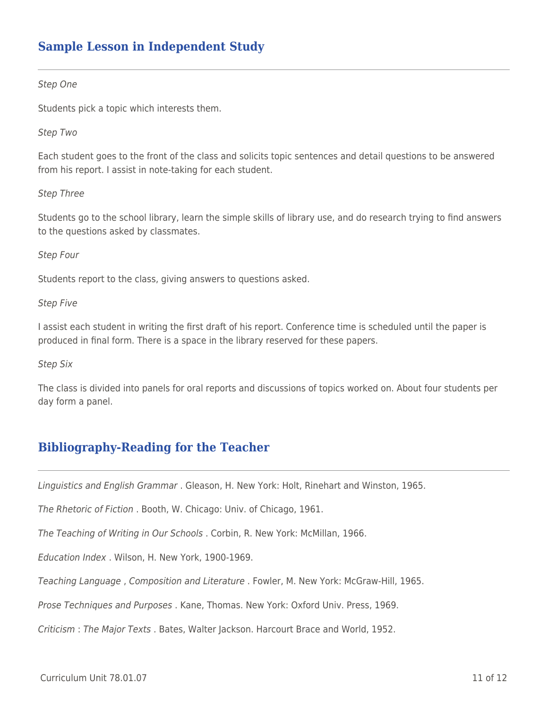# **Sample Lesson in Independent Study**

#### Step One

Students pick a topic which interests them.

#### Step Two

Each student goes to the front of the class and solicits topic sentences and detail questions to be answered from his report. I assist in note-taking for each student.

#### Step Three

Students go to the school library, learn the simple skills of library use, and do research trying to find answers to the questions asked by classmates.

#### Step Four

Students report to the class, giving answers to questions asked.

#### Step Five

I assist each student in writing the first draft of his report. Conference time is scheduled until the paper is produced in final form. There is a space in the library reserved for these papers.

#### Step Six

The class is divided into panels for oral reports and discussions of topics worked on. About four students per day form a panel.

# **Bibliography-Reading for the Teacher**

Linguistics and English Grammar . Gleason, H. New York: Holt, Rinehart and Winston, 1965.

The Rhetoric of Fiction . Booth, W. Chicago: Univ. of Chicago, 1961.

The Teaching of Writing in Our Schools . Corbin, R. New York: McMillan, 1966.

Education Index . Wilson, H. New York, 1900-1969.

Teaching Language , Composition and Literature . Fowler, M. New York: McGraw-Hill, 1965.

Prose Techniques and Purposes . Kane, Thomas. New York: Oxford Univ. Press, 1969.

Criticism : The Major Texts . Bates, Walter Jackson. Harcourt Brace and World, 1952.